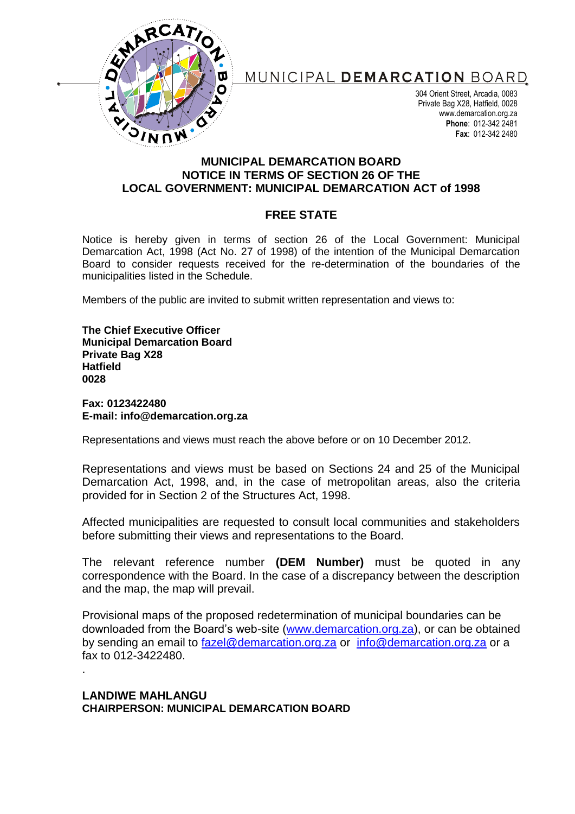

## MUNICIPAL DEMARCATION BOARD

304 Orient Street, Arcadia, 0083 Private Bag X28, Hatfield, 0028 www.demarcation.org.za **Phone**: 012-342 2481 **Fax**: 012-342 2480

## **MUNICIPAL DEMARCATION BOARD NOTICE IN TERMS OF SECTION 26 OF THE LOCAL GOVERNMENT: MUNICIPAL DEMARCATION ACT of 1998**

## **FREE STATE**

Notice is hereby given in terms of section 26 of the Local Government: Municipal Demarcation Act, 1998 (Act No. 27 of 1998) of the intention of the Municipal Demarcation Board to consider requests received for the re-determination of the boundaries of the municipalities listed in the Schedule.

Members of the public are invited to submit written representation and views to:

**The Chief Executive Officer Municipal Demarcation Board Private Bag X28 Hatfield 0028**

**Fax: 0123422480 E-mail: info@demarcation.org.za**

Representations and views must reach the above before or on 10 December 2012.

Representations and views must be based on Sections 24 and 25 of the Municipal Demarcation Act, 1998, and, in the case of metropolitan areas, also the criteria provided for in Section 2 of the Structures Act, 1998.

Affected municipalities are requested to consult local communities and stakeholders before submitting their views and representations to the Board.

The relevant reference number **(DEM Number)** must be quoted in any correspondence with the Board. In the case of a discrepancy between the description and the map, the map will prevail.

Provisional maps of the proposed redetermination of municipal boundaries can be downloaded from the Board's web-site [\(www.demarcation.org.za\)](http://www.demarcation.org.za/), or can be obtained by sending an email to [fazel@demarcation.org.za](mailto:fazel@demarcation.org.za) or [info@demarcation.org.za](mailto:info@demarcation.org.za) or a fax to 012-3422480. .

**LANDIWE MAHLANGU CHAIRPERSON: MUNICIPAL DEMARCATION BOARD**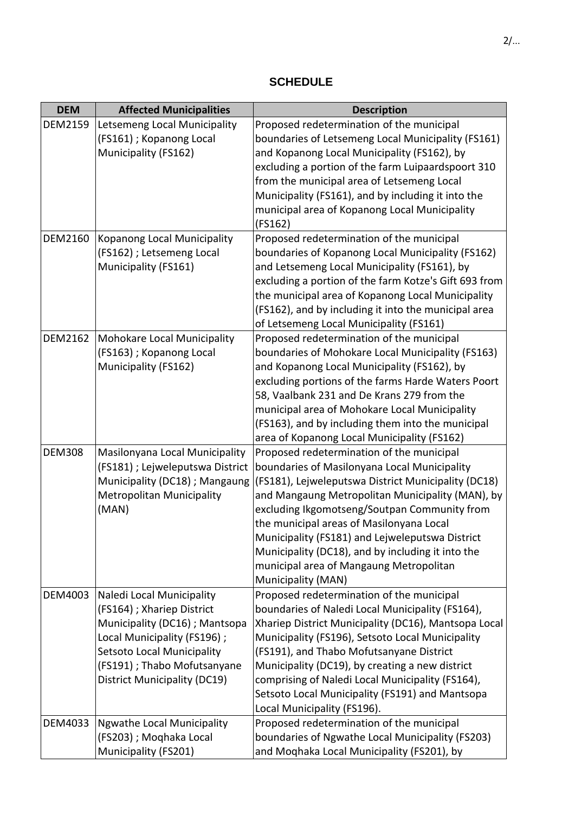## **SCHEDULE**

| <b>DEM</b>     | <b>Affected Municipalities</b>                                     | <b>Description</b>                                                                                  |
|----------------|--------------------------------------------------------------------|-----------------------------------------------------------------------------------------------------|
| <b>DEM2159</b> | Letsemeng Local Municipality                                       | Proposed redetermination of the municipal                                                           |
|                | (FS161) ; Kopanong Local                                           | boundaries of Letsemeng Local Municipality (FS161)                                                  |
|                | Municipality (FS162)                                               | and Kopanong Local Municipality (FS162), by                                                         |
|                |                                                                    | excluding a portion of the farm Luipaardspoort 310                                                  |
|                |                                                                    | from the municipal area of Letsemeng Local                                                          |
|                |                                                                    | Municipality (FS161), and by including it into the                                                  |
|                |                                                                    | municipal area of Kopanong Local Municipality                                                       |
|                |                                                                    | (FS162)                                                                                             |
| <b>DEM2160</b> | Kopanong Local Municipality                                        | Proposed redetermination of the municipal                                                           |
|                | (FS162) ; Letsemeng Local                                          | boundaries of Kopanong Local Municipality (FS162)                                                   |
|                | Municipality (FS161)                                               | and Letsemeng Local Municipality (FS161), by                                                        |
|                |                                                                    | excluding a portion of the farm Kotze's Gift 693 from                                               |
|                |                                                                    | the municipal area of Kopanong Local Municipality                                                   |
|                |                                                                    | (FS162), and by including it into the municipal area                                                |
|                |                                                                    | of Letsemeng Local Municipality (FS161)                                                             |
| <b>DEM2162</b> | Mohokare Local Municipality                                        | Proposed redetermination of the municipal                                                           |
|                | (FS163); Kopanong Local                                            | boundaries of Mohokare Local Municipality (FS163)                                                   |
|                | Municipality (FS162)                                               | and Kopanong Local Municipality (FS162), by                                                         |
|                |                                                                    | excluding portions of the farms Harde Waters Poort                                                  |
|                |                                                                    | 58, Vaalbank 231 and De Krans 279 from the                                                          |
|                |                                                                    | municipal area of Mohokare Local Municipality                                                       |
|                |                                                                    | (FS163), and by including them into the municipal                                                   |
|                |                                                                    | area of Kopanong Local Municipality (FS162)                                                         |
| <b>DEM308</b>  | Masilonyana Local Municipality                                     | Proposed redetermination of the municipal                                                           |
|                | (FS181) ; Lejweleputswa District<br>Municipality (DC18) ; Mangaung | boundaries of Masilonyana Local Municipality<br>(FS181), Lejweleputswa District Municipality (DC18) |
|                | <b>Metropolitan Municipality</b>                                   | and Mangaung Metropolitan Municipality (MAN), by                                                    |
|                | (MAN)                                                              | excluding Ikgomotseng/Soutpan Community from                                                        |
|                |                                                                    | the municipal areas of Masilonyana Local                                                            |
|                |                                                                    | Municipality (FS181) and Lejweleputswa District                                                     |
|                |                                                                    | Municipality (DC18), and by including it into the                                                   |
|                |                                                                    | municipal area of Mangaung Metropolitan                                                             |
|                |                                                                    | Municipality (MAN)                                                                                  |
| DEM4003        | Naledi Local Municipality                                          | Proposed redetermination of the municipal                                                           |
|                | (FS164); Xhariep District                                          | boundaries of Naledi Local Municipality (FS164),                                                    |
|                | Municipality (DC16) ; Mantsopa                                     | Xhariep District Municipality (DC16), Mantsopa Local                                                |
|                | Local Municipality (FS196);                                        | Municipality (FS196), Setsoto Local Municipality                                                    |
|                | Setsoto Local Municipality                                         | (FS191), and Thabo Mofutsanyane District                                                            |
|                | (FS191) ; Thabo Mofutsanyane                                       | Municipality (DC19), by creating a new district                                                     |
|                | <b>District Municipality (DC19)</b>                                | comprising of Naledi Local Municipality (FS164),                                                    |
|                |                                                                    | Setsoto Local Municipality (FS191) and Mantsopa                                                     |
|                |                                                                    | Local Municipality (FS196).                                                                         |
| DEM4033        | <b>Ngwathe Local Municipality</b>                                  | Proposed redetermination of the municipal                                                           |
|                | (FS203) ; Moqhaka Local                                            | boundaries of Ngwathe Local Municipality (FS203)                                                    |
|                | Municipality (FS201)                                               | and Moqhaka Local Municipality (FS201), by                                                          |